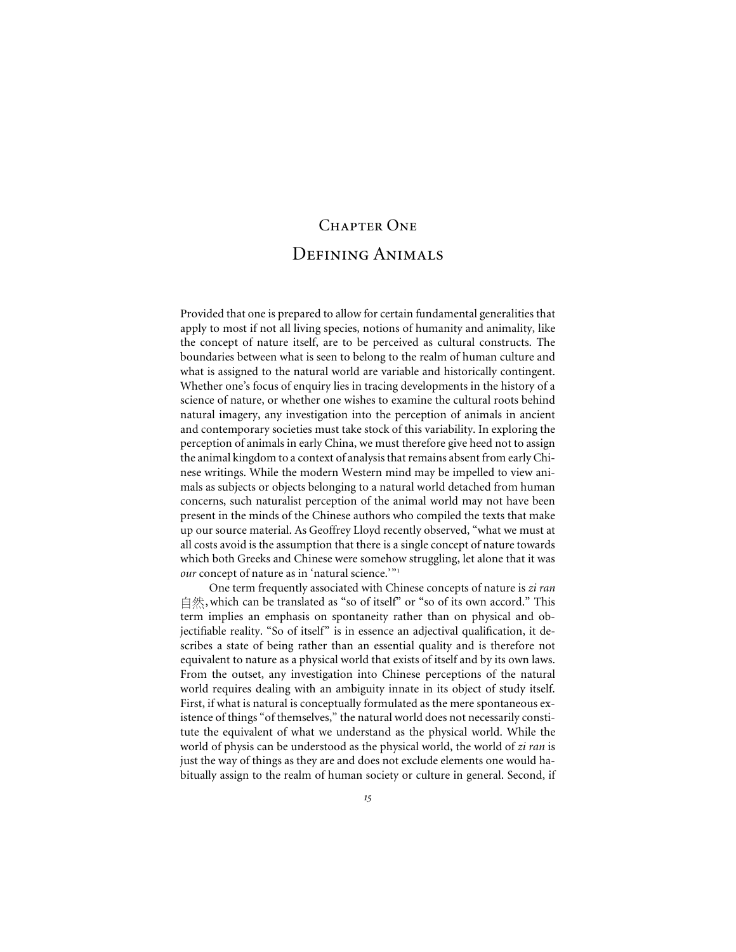# **CHAPTER ONE** Chapter One Defining Animals

Provided that one is prepared to allow for certain fundamental generalities that apply to most if not all living species, notions of humanity and animality, like the concept of nature itself, are to be perceived as cultural constructs. The boundaries between what is seen to belong to the realm of human culture and what is assigned to the natural world are variable and historically contingent. Whether one's focus of enquiry lies in tracing developments in the history of a science of nature, or whether one wishes to examine the cultural roots behind natural imagery, any investigation into the perception of animals in ancient and contemporary societies must take stock of this variability. In exploring the perception of animals in early China, we must therefore give heed not to assign the animal kingdom to a context of analysis that remains absent from early Chinese writings. While the modern Western mind may be impelled to view animals as subjects or objects belonging to a natural world detached from human concerns, such naturalist perception of the animal world may not have been present in the minds of the Chinese authors who compiled the texts that make up our source material. As Geoffrey Lloyd recently observed, "what we must at all costs avoid is the assumption that there is a single concept of nature towards which both Greeks and Chinese were somehow struggling, let alone that it was *our* concept of nature as in 'natural science.'"<sup>1</sup>

One term frequently associated with Chinese concepts of nature is *zi ran* ,which can be translated as "so of itself" or "so of its own accord." This term implies an emphasis on spontaneity rather than on physical and objectifiable reality. "So of itself" is in essence an adjectival qualification, it describes a state of being rather than an essential quality and is therefore not equivalent to nature as a physical world that exists of itself and by its own laws. From the outset, any investigation into Chinese perceptions of the natural world requires dealing with an ambiguity innate in its object of study itself. First, if what is natural is conceptually formulated as the mere spontaneous existence of things "of themselves," the natural world does not necessarily constitute the equivalent of what we understand as the physical world. While the world of physis can be understood as the physical world, the world of *zi ran* is just the way of things as they are and does not exclude elements one would habitually assign to the realm of human society or culture in general. Second, if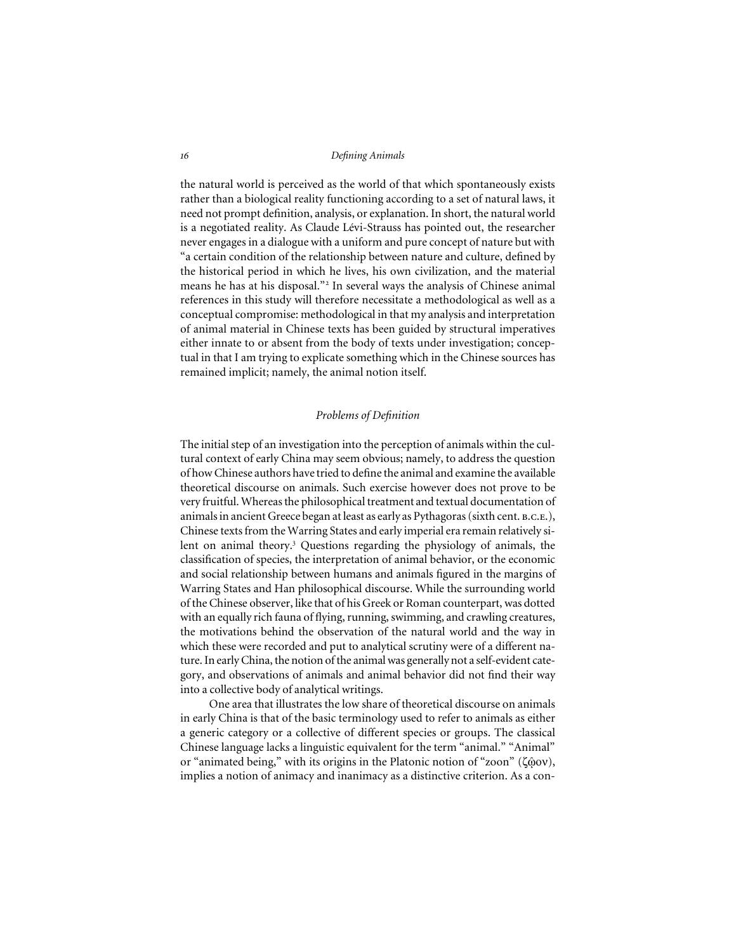the natural world is perceived as the world of that which spontaneously exists rather than a biological reality functioning according to a set of natural laws, it need not prompt definition, analysis, or explanation. In short, the natural world is a negotiated reality. As Claude Lévi-Strauss has pointed out, the researcher never engages in a dialogue with a uniform and pure concept of nature but with "a certain condition of the relationship between nature and culture, defined by the historical period in which he lives, his own civilization, and the material means he has at his disposal."2 In several ways the analysis of Chinese animal references in this study will therefore necessitate a methodological as well as a conceptual compromise: methodological in that my analysis and interpretation of animal material in Chinese texts has been guided by structural imperatives either innate to or absent from the body of texts under investigation; conceptual in that I am trying to explicate something which in the Chinese sources has remained implicit; namely, the animal notion itself.

# **Problems of Definition**

The initial step of an investigation into the perception of animals within the cultural context of early China may seem obvious; namely, to address the question of how Chinese authors have tried to define the animal and examine the available theoretical discourse on animals. Such exercise however does not prove to be very fruitful. Whereas the philosophical treatment and textual documentation of animals in ancient Greece began at least as early as Pythagoras (sixth cent. b.c.e.), Chinese texts from the Warring States and early imperial era remain relatively silent on animal theory.3 Questions regarding the physiology of animals, the classification of species, the interpretation of animal behavior, or the economic and social relationship between humans and animals figured in the margins of Warring States and Han philosophical discourse. While the surrounding world of the Chinese observer, like that of his Greek or Roman counterpart, was dotted with an equally rich fauna of flying, running, swimming, and crawling creatures, the motivations behind the observation of the natural world and the way in which these were recorded and put to analytical scrutiny were of a different nature. In early China, the notion of the animal was generally not a self-evident category, and observations of animals and animal behavior did not find their way into a collective body of analytical writings.

One area that illustrates the low share of theoretical discourse on animals in early China is that of the basic terminology used to refer to animals as either a generic category or a collective of different species or groups. The classical Chinese language lacks a linguistic equivalent for the term "animal." "Animal" or "animated being," with its origins in the Platonic notion of "zoon" ( $\zeta$  $\hat{\omega}$ ov), implies a notion of animacy and inanimacy as a distinctive criterion. As a con-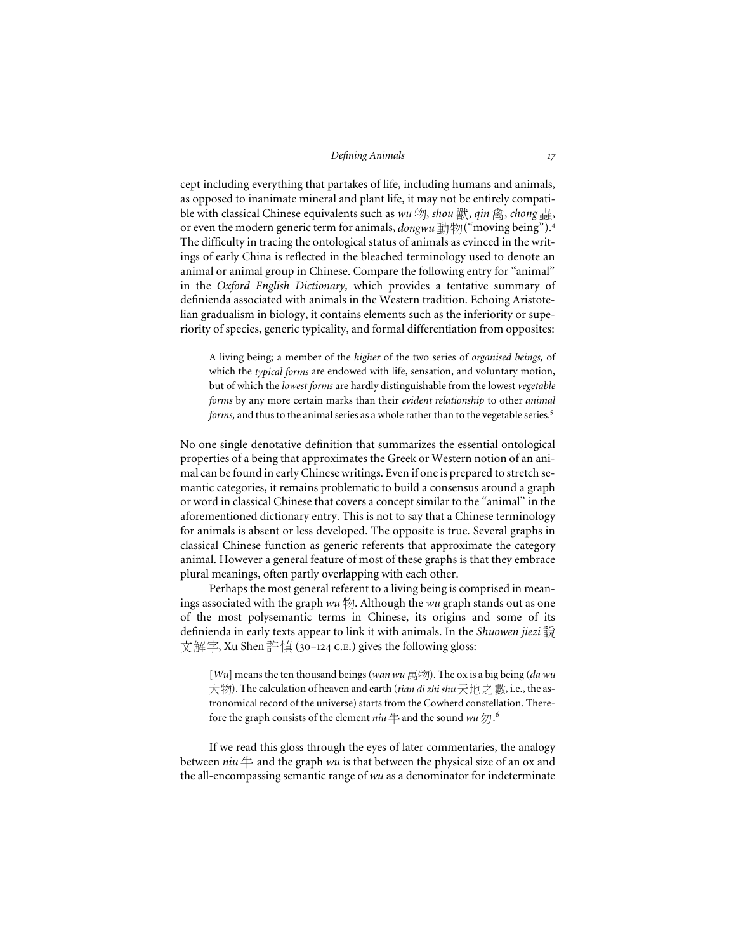cept including everything that partakes of life, including humans and animals, as opposed to inanimate mineral and plant life, it may not be entirely compatible with classical Chinese equivalents such as *wu 物*, *shou* 獸, *qin* 禽, *chong* 蟲, or even the modern generic term for animals, *dongwu* 動物("moving being").<sup>4</sup> The difficulty in tracing the ontological status of animals as evinced in the writings of early China is reflected in the bleached terminology used to denote an animal or animal group in Chinese. Compare the following entry for "animal" in the *Oxford English Dictionary,* which provides a tentative summary of definienda associated with animals in the Western tradition. Echoing Aristotelian gradualism in biology, it contains elements such as the inferiority or superiority of species, generic typicality, and formal differentiation from opposites:

A living being; a member of the *higher* of the two series of *organised beings,* of which the *typical forms* are endowed with life, sensation, and voluntary motion, but of which the *lowest forms* are hardly distinguishable from the lowest *vegetable forms* by any more certain marks than their *evident relationship* to other *animal forms*, and thus to the animal series as a whole rather than to the vegetable series.<sup>5</sup>

No one single denotative definition that summarizes the essential ontological properties of a being that approximates the Greek or Western notion of an animal can be found in early Chinese writings. Even if one is prepared to stretch semantic categories, it remains problematic to build a consensus around a graph or word in classical Chinese that covers a concept similar to the "animal" in the aforementioned dictionary entry. This is not to say that a Chinese terminology for animals is absent or less developed. The opposite is true. Several graphs in classical Chinese function as generic referents that approximate the category animal. However a general feature of most of these graphs is that they embrace plural meanings, often partly overlapping with each other.

Perhaps the most general referent to a living being is comprised in meanings associated with the graph *wu* . Although the *wu* graph stands out as one of the most polysemantic terms in Chinese, its origins and some of its definienda in early texts appear to link it with animals. In the *Shuowen jiezi* 說  $\overline{\chi}$  解字, Xu Shen 許慎 (30–124 c.e.) gives the following gloss:

[*Wu*] means the ten thousand beings (*wan wu* ). The ox is a big being (*da wu* 大物). The calculation of heaven and earth (*tian di zhi shu* 天地之 數, i.e., the astronomical record of the universe) starts from the Cowherd constellation. Therefore the graph consists of the element  $\mathit{niu} \, \mathord{\text{+}}$  and the sound  $\mathit{wu} \, \mathord{\text{=}} \, 0.6$ 

If we read this gloss through the eyes of later commentaries, the analogy between *niu*  $\#$  and the graph *wu* is that between the physical size of an ox and the all-encompassing semantic range of *wu* as a denominator for indeterminate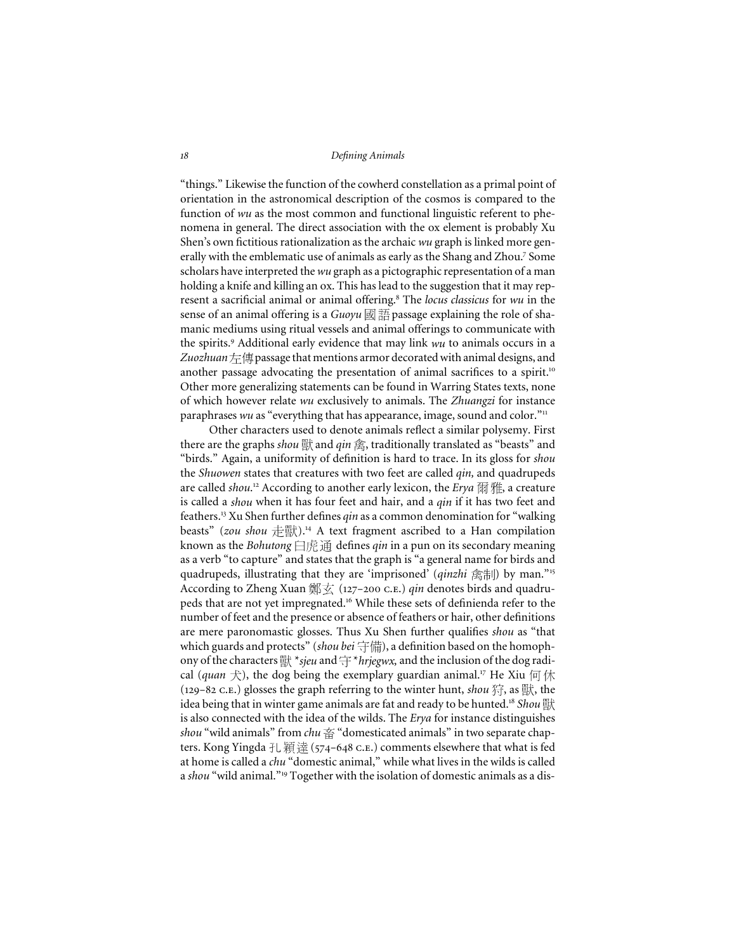"things." Likewise the function of the cowherd constellation as a primal point of orientation in the astronomical description of the cosmos is compared to the function of *wu* as the most common and functional linguistic referent to phenomena in general. The direct association with the ox element is probably Xu Shen's own fictitious rationalization as the archaic *wu* graph is linked more generally with the emblematic use of animals as early as the Shang and Zhou.<sup>7</sup> Some scholars have interpreted the *wu* graph as a pictographic representation of a man holding a knife and killing an ox. This has lead to the suggestion that it may represent a sacrificial animal or animal offering.<sup>8</sup> The *locus classicus* for wu in the sense of an animal offering is a  $Guoyu \boxtimes \mathbb{H}$  passage explaining the role of shamanic mediums using ritual vessels and animal offerings to communicate with the spirits.9 Additional early evidence that may link *wu* to animals occurs in a *Zuozhuan*  $\pm$  傳 passage that mentions armor decorated with animal designs, and another passage advocating the presentation of animal sacrifices to a spirit.<sup>10</sup> Other more generalizing statements can be found in Warring States texts, none of which however relate *wu* exclusively to animals. The *Zhuangzi* for instance paraphrases *wu* as "everything that has appearance, image, sound and color."<sup>11</sup>

Other characters used to denote animals reflect a similar polysemy. First there are the graphs *shou* 獸 and *qin* 禽, traditionally translated as "beasts" and "birds." Again, a uniformity of definition is hard to trace. In its gloss for *shou* the *Shuowen* states that creatures with two feet are called *qin,* and quadrupeds are called *shou*.12 According to another early lexicon, the *Erya* 爾雅, a creature is called a *shou* when it has four feet and hair, and a *qin* if it has two feet and feathers.<sup>13</sup> Xu Shen further defines *qin* as a common denomination for "walking beasts" (*zou shou* 走獸).<sup>14</sup> A text fragment ascribed to a Han compilation known as the *Bohutong*  $\Box$   $\dot{E}$   $\ddot{H}$  defines *qin* in a pun on its secondary meaning as a verb "to capture" and states that the graph is "a general name for birds and quadrupeds, illustrating that they are 'imprisoned' (*qinzhi* 禽制) by man."<sup>15</sup> According to Zheng Xuan 鄭玄 (127–200 c.e.) *qin* denotes birds and quadrupeds that are not yet impregnated.<sup>16</sup> While these sets of definienda refer to the number of feet and the presence or absence of feathers or hair, other definitions are mere paronomastic glosses. Thus Xu Shen further qualifies *shou* as "that which guards and protects" (*shou bei* 守備), a definition based on the homophony of the characters  $\frac{m}{2}$ <sup>\*</sup> *sjeu* and  $\frac{m}{2}$ <sup>\*</sup> *hrjegwx*, and the inclusion of the dog radical (*quan*  $\hat{\mathcal{R}}$ ), the dog being the exemplary guardian animal.<sup>17</sup> He Xiu  $\hat{p}$   $\hat{p}$ (129-82 c.E.) glosses the graph referring to the winter hunt, *shou* 狩, as 獸, the idea being that in winter game animals are fat and ready to be hunted.18 *Shou* is also connected with the idea of the wilds. The *Erya* for instance distinguishes *shou* "wild animals" from *chu* 畜 "domesticated animals" in two separate chapters. Kong Yingda 孔穎達 (574-648 c.e.) comments elsewhere that what is fed at home is called a *chu* "domestic animal," while what lives in the wilds is called a *shou* "wild animal."19 Together with the isolation of domestic animals as a dis-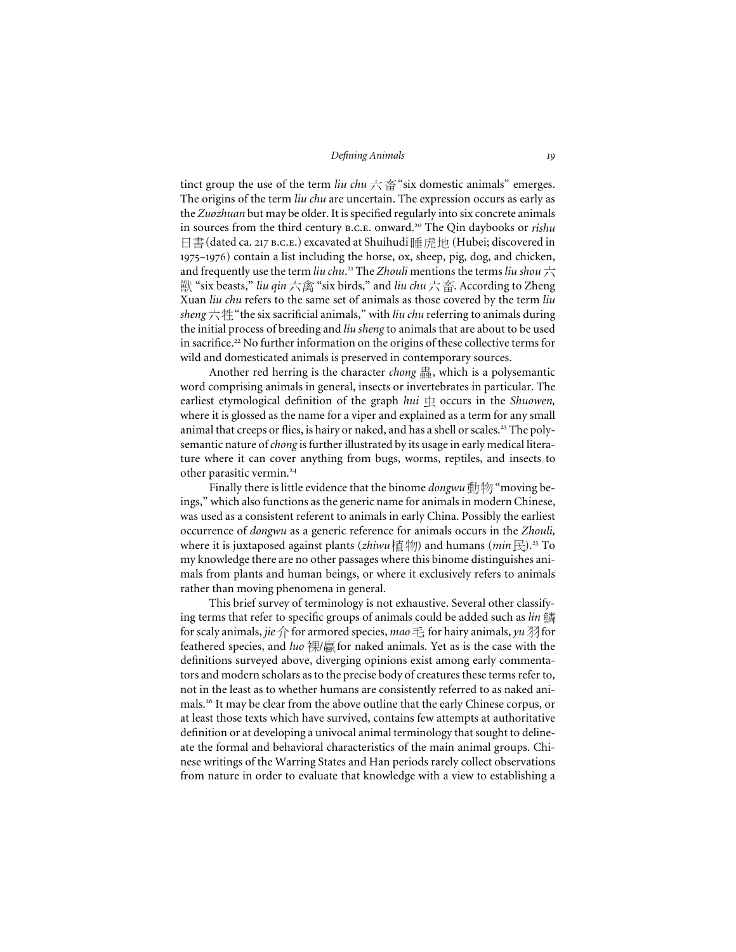tinct group the use of the term *liu chu*  $\frac{1}{N}$   $\frac{2}{N}$  "six domestic animals" emerges. The origins of the term *liu chu* are uncertain. The expression occurs as early as the Zuozhuan but may be older. It is specified regularly into six concrete animals in sources from the third century b.c.e. onward.20 The Qin daybooks or *rishu*  $\Box \equiv$  (dated ca. 217 B.C.E.) excavated at Shuihudi 睡虎地 (Hubei; discovered in 1975–1976) contain a list including the horse, ox, sheep, pig, dog, and chicken, and frequently use the term *liu chu*. 21 The *Zhouli* mentions the terms *liu shou* 獸 "six beasts," *liu qin* 六禽 "six birds," and *liu chu* 六畜. According to Zheng Xuan *liu chu* refers to the same set of animals as those covered by the term *liu sheng*  $\frac{1}{\sqrt{2}}$  "the six sacrificial animals," with *liu chu* referring to animals during the initial process of breeding and *liu sheng* to animals that are about to be used in sacrifice.<sup>22</sup> No further information on the origins of these collective terms for wild and domesticated animals is preserved in contemporary sources.

Another red herring is the character *chong* 蟲, which is a polysemantic word comprising animals in general, insects or invertebrates in particular. The earliest etymological definition of the graph  $hui \oplus$  occurs in the *Shuowen*, where it is glossed as the name for a viper and explained as a term for any small animal that creeps or flies, is hairy or naked, and has a shell or scales.<sup>23</sup> The polysemantic nature of *chong* is further illustrated by its usage in early medical literature where it can cover anything from bugs, worms, reptiles, and insects to other parasitic vermin.<sup>24</sup>

Finally there is little evidence that the binome *dongwu* 動物 "moving beings," which also functions as the generic name for animals in modern Chinese, was used as a consistent referent to animals in early China. Possibly the earliest occurrence of *dongwu* as a generic reference for animals occurs in the *Zhouli,* where it is juxtaposed against plants (*zhiwu*  $\overline{m}$   $\overline{m}$ ) and humans (*min*  $\overline{R}$ ).<sup>25</sup> To my knowledge there are no other passages where this binome distinguishes animals from plants and human beings, or where it exclusively refers to animals rather than moving phenomena in general.

This brief survey of terminology is not exhaustive. Several other classifying terms that refer to specific groups of animals could be added such as *lin* 鳞 for scaly animals, *jie* 介 for armored species, *mao* 毛 for hairy animals, *yu* 羽 for feathered species, and *luo* 裸/赢 for naked animals. Yet as is the case with the definitions surveyed above, diverging opinions exist among early commentators and modern scholars as to the precise body of creatures these terms refer to, not in the least as to whether humans are consistently referred to as naked animals.26 It may be clear from the above outline that the early Chinese corpus, or at least those texts which have survived, contains few attempts at authoritative definition or at developing a univocal animal terminology that sought to delineate the formal and behavioral characteristics of the main animal groups. Chinese writings of the Warring States and Han periods rarely collect observations from nature in order to evaluate that knowledge with a view to establishing a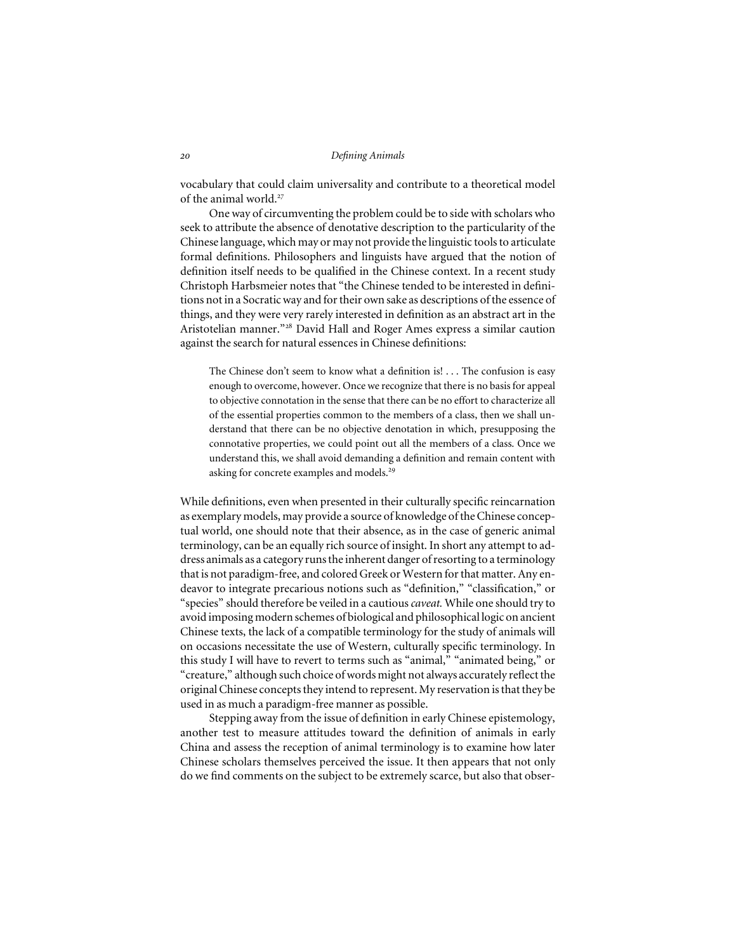vocabulary that could claim universality and contribute to a theoretical model of the animal world.<sup>27</sup>

One way of circumventing the problem could be to side with scholars who seek to attribute the absence of denotative description to the particularity of the Chinese language, which may or may not provide the linguistic tools to articulate formal definitions. Philosophers and linguists have argued that the notion of definition itself needs to be qualified in the Chinese context. In a recent study Christoph Harbsmeier notes that "the Chinese tended to be interested in definitions not in a Socratic way and for their own sake as descriptions of the essence of things, and they were very rarely interested in definition as an abstract art in the Aristotelian manner."28 David Hall and Roger Ames express a similar caution against the search for natural essences in Chinese definitions:

The Chinese don't seem to know what a definition is!  $\ldots$  The confusion is easy enough to overcome, however. Once we recognize that there is no basis for appeal to objective connotation in the sense that there can be no effort to characterize all of the essential properties common to the members of a class, then we shall understand that there can be no objective denotation in which, presupposing the connotative properties, we could point out all the members of a class. Once we understand this, we shall avoid demanding a definition and remain content with asking for concrete examples and models.<sup>29</sup>

While definitions, even when presented in their culturally specific reincarnation as exemplary models, may provide a source of knowledge of the Chinese conceptual world, one should note that their absence, as in the case of generic animal terminology, can be an equally rich source of insight. In short any attempt to address animals as a category runs the inherent danger of resorting to a terminology that is not paradigm-free, and colored Greek or Western for that matter. Any endeavor to integrate precarious notions such as "definition," "classification," or "species" should therefore be veiled in a cautious *caveat.* While one should try to avoid imposing modern schemes of biological and philosophical logic on ancient Chinese texts, the lack of a compatible terminology for the study of animals will on occasions necessitate the use of Western, culturally specific terminology. In this study I will have to revert to terms such as "animal," "animated being," or "creature," although such choice of words might not always accurately reflect the original Chinese concepts they intend to represent. My reservation is that they be used in as much a paradigm-free manner as possible.

Stepping away from the issue of definition in early Chinese epistemology, another test to measure attitudes toward the definition of animals in early China and assess the reception of animal terminology is to examine how later Chinese scholars themselves perceived the issue. It then appears that not only do we find comments on the subject to be extremely scarce, but also that obser-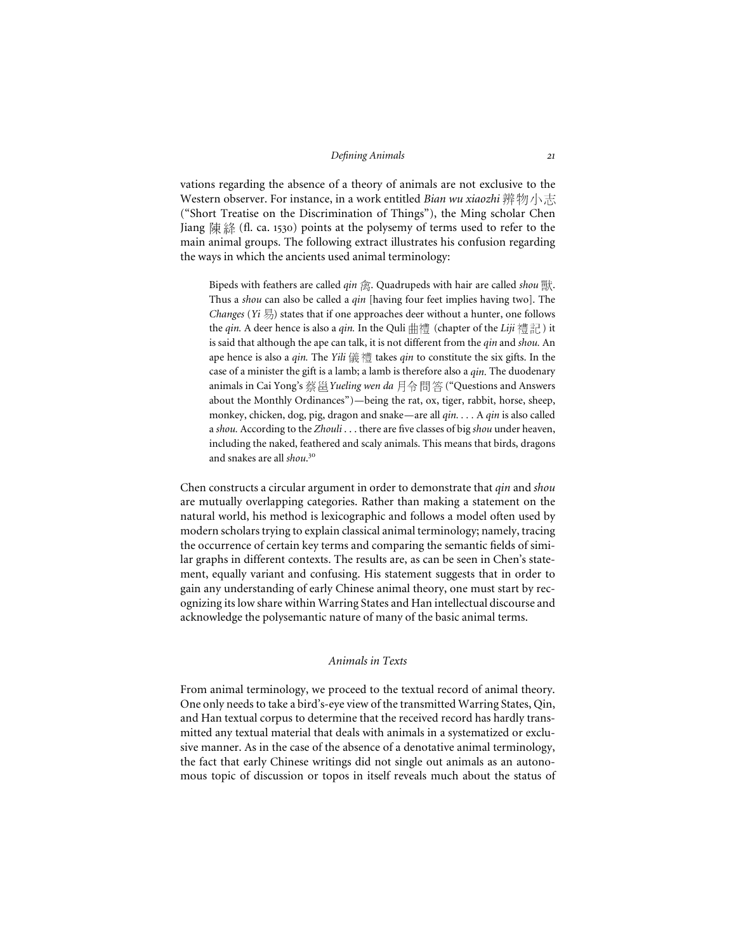vations regarding the absence of a theory of animals are not exclusive to the Western observer. For instance, in a work entitled *Bian wu xiaozhi* 辨物小志 ("Short Treatise on the Discrimination of Things"), the Ming scholar Chen Jiang 陳絳 (fl. ca. 1530) points at the polysemy of terms used to refer to the main animal groups. The following extract illustrates his confusion regarding the ways in which the ancients used animal terminology:

Bipeds with feathers are called *qin* 禽. Quadrupeds with hair are called *shou* 獸. Thus a *shou* can also be called a *qin* [having four feet implies having two]. The *Changes* (*Yi*  $\overline{B}$ ) states that if one approaches deer without a hunter, one follows the *qin*. A deer hence is also a *qin*. In the Quli 曲禮 (chapter of the Liji 禮記) it is said that although the ape can talk, it is not different from the *qin* and *shou.* An ape hence is also a *qin.* The *Yili* takes *qin* to constitute the six gifts. In the case of a minister the gift is a lamb; a lamb is therefore also a *qin.* The duodenary animals in Cai Yong's 蔡邕 Yueling wen da 月令 間答 ("Questions and Answers about the Monthly Ordinances")—being the rat, ox, tiger, rabbit, horse, sheep, monkey, chicken, dog, pig, dragon and snake—are all *qin. . . .* A *qin* is also called a *shou*. According to the *Zhouli* . . . there are five classes of big *shou* under heaven, including the naked, feathered and scaly animals. This means that birds, dragons and snakes are all *shou*. 30

Chen constructs a circular argument in order to demonstrate that *qin* and *shou* are mutually overlapping categories. Rather than making a statement on the natural world, his method is lexicographic and follows a model often used by modern scholars trying to explain classical animal terminology; namely, tracing the occurrence of certain key terms and comparing the semantic fields of similar graphs in different contexts. The results are, as can be seen in Chen's statement, equally variant and confusing. His statement suggests that in order to gain any understanding of early Chinese animal theory, one must start by recognizing its low share within Warring States and Han intellectual discourse and acknowledge the polysemantic nature of many of the basic animal terms.

# *Animals in Texts*

From animal terminology, we proceed to the textual record of animal theory. One only needs to take a bird's-eye view of the transmitted Warring States, Qin, and Han textual corpus to determine that the received record has hardly transmitted any textual material that deals with animals in a systematized or exclusive manner. As in the case of the absence of a denotative animal terminology, the fact that early Chinese writings did not single out animals as an autonomous topic of discussion or topos in itself reveals much about the status of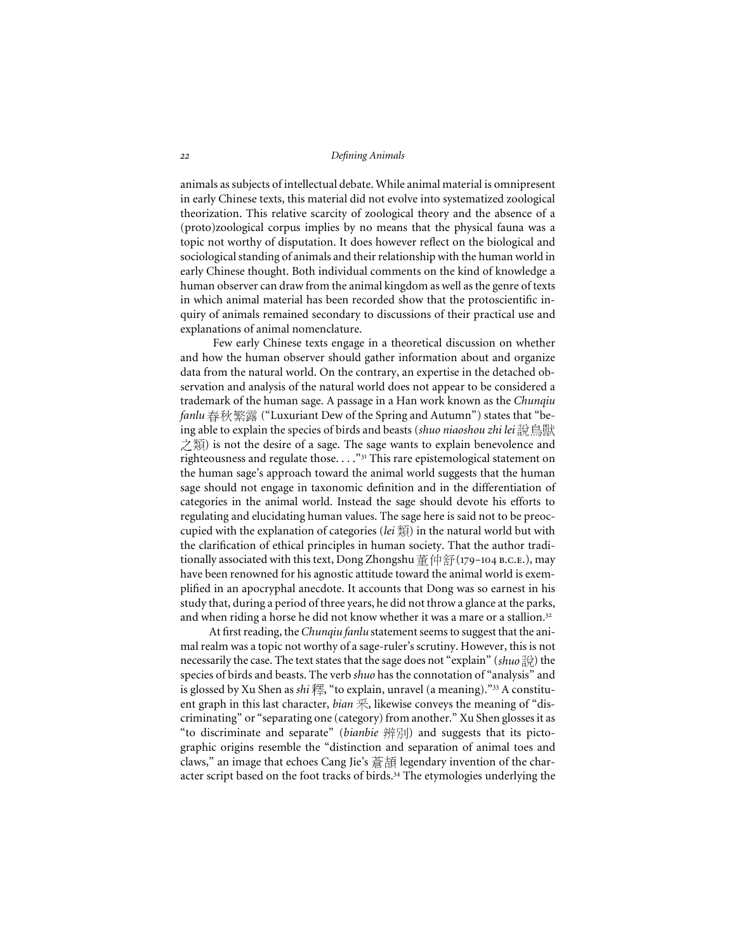animals as subjects of intellectual debate. While animal material is omnipresent in early Chinese texts, this material did not evolve into systematized zoological theorization. This relative scarcity of zoological theory and the absence of a (proto)zoological corpus implies by no means that the physical fauna was a topic not worthy of disputation. It does however reflect on the biological and sociological standing of animals and their relationship with the human world in early Chinese thought. Both individual comments on the kind of knowledge a human observer can draw from the animal kingdom as well as the genre of texts in which animal material has been recorded show that the protoscientific inquiry of animals remained secondary to discussions of their practical use and explanations of animal nomenclature.

 Few early Chinese texts engage in a theoretical discussion on whether and how the human observer should gather information about and organize data from the natural world. On the contrary, an expertise in the detached observation and analysis of the natural world does not appear to be considered a trademark of the human sage. A passage in a Han work known as the *Chunqiu fanlu* 春秋繁露 ("Luxuriant Dew of the Spring and Autumn") states that "being able to explain the species of birds and beasts (*shuo niaoshou zhi lei* 之類) is not the desire of a sage. The sage wants to explain benevolence and righteousness and regulate those. . . ."31 This rare epistemological statement on the human sage's approach toward the animal world suggests that the human sage should not engage in taxonomic definition and in the differentiation of categories in the animal world. Instead the sage should devote his efforts to regulating and elucidating human values. The sage here is said not to be preoccupied with the explanation of categories (*lei* 類) in the natural world but with the clarification of ethical principles in human society. That the author traditionally associated with this text, Dong Zhongshu  $\tilde{\mathbb{E}}$  ( $\tilde{\mathbb{H}}$ ) (179–104 b.c.e.), may have been renowned for his agnostic attitude toward the animal world is exemplified in an apocryphal anecdote. It accounts that Dong was so earnest in his study that, during a period of three years, he did not throw a glance at the parks, and when riding a horse he did not know whether it was a mare or a stallion.<sup>32</sup>

At first reading, the *Chunqiu fanlu* statement seems to suggest that the animal realm was a topic not worthy of a sage-ruler's scrutiny. However, this is not necessarily the case. The text states that the sage does not "explain" (*shuo* 說) the species of birds and beasts. The verb *shuo* has the connotation of "analysis" and is glossed by Xu Shen as *shi* 釋, "to explain, unravel (a meaning)."<sup>33</sup> A constituent graph in this last character, *bian*  $\mathcal{F}$ , likewise conveys the meaning of "discriminating" or "separating one (category) from another." Xu Shen glosses it as "to discriminate and separate" (*bianbie*  $\frac{1}{2}$ [Al]) and suggests that its pictographic origins resemble the "distinction and separation of animal toes and claws," an image that echoes Cang Jie's 蒼頡 legendary invention of the character script based on the foot tracks of birds.34 The etymologies underlying the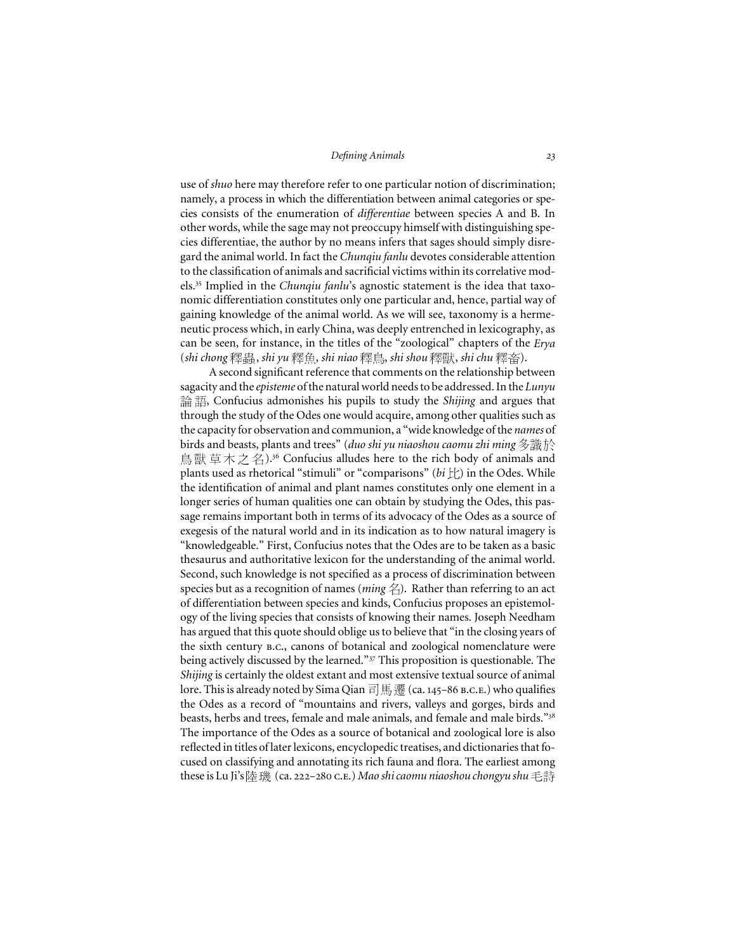use of *shuo* here may therefore refer to one particular notion of discrimination; namely, a process in which the differentiation between animal categories or species consists of the enumeration of *differentiae* between species A and B. In other words, while the sage may not preoccupy himself with distinguishing species differentiae, the author by no means infers that sages should simply disregard the animal world. In fact the *Chunqiu fanlu* devotes considerable attention to the classification of animals and sacrificial victims within its correlative models.35 Implied in the *Chunqiu fanlu*'s agnostic statement is the idea that taxonomic differentiation constitutes only one particular and, hence, partial way of gaining knowledge of the animal world. As we will see, taxonomy is a hermeneutic process which, in early China, was deeply entrenched in lexicography, as can be seen, for instance, in the titles of the "zoological" chapters of the *Erya* (shi chong 釋蟲, shi yu 釋魚, shi niao 釋鳥, shi shou 釋獸, shi chu 釋畜).

A second significant reference that comments on the relationship between sagacity and the *episteme* of the natural world needs to be addressed. In the *Lunyu* 論語, Confucius admonishes his pupils to study the *Shijing* and argues that through the study of the Odes one would acquire, among other qualities such as the capacity for observation and communion, a "wide knowledge of the *names* of birds and beasts, plants and trees" (*duo shi yu niaoshou caomu zhi ming* 鳥獸草木之名).<sup>36</sup> Confucius alludes here to the rich body of animals and plants used as rhetorical "stimuli" or "comparisons" (*bi*  $\vert \cdot \vert$ ) in the Odes. While the identification of animal and plant names constitutes only one element in a longer series of human qualities one can obtain by studying the Odes, this passage remains important both in terms of its advocacy of the Odes as a source of exegesis of the natural world and in its indication as to how natural imagery is "knowledgeable." First, Confucius notes that the Odes are to be taken as a basic thesaurus and authoritative lexicon for the understanding of the animal world. Second, such knowledge is not specified as a process of discrimination between species but as a recognition of names (*ming*  $\angle$ ). Rather than referring to an act of differentiation between species and kinds, Confucius proposes an epistemology of the living species that consists of knowing their names. Joseph Needham has argued that this quote should oblige us to believe that "in the closing years of the sixth century b.c., canons of botanical and zoological nomenclature were being actively discussed by the learned."37 This proposition is questionable. The *Shijing* is certainly the oldest extant and most extensive textual source of animal lore. This is already noted by Sima Qian  $\overline{a}$  |  $\overline{f}$  |  $\overline{f}$  |  $\overline{f}$  (ca. 145–86 b.c.e.) who qualifies the Odes as a record of "mountains and rivers, valleys and gorges, birds and beasts, herbs and trees, female and male animals, and female and male birds."38 The importance of the Odes as a source of botanical and zoological lore is also reflected in titles of later lexicons, encyclopedic treatises, and dictionaries that focused on classifying and annotating its rich fauna and flora. The earliest among these is Lu Ji's 陸璣 (ca. 222–280 c.e.) *Mao shi caomu niaoshou chongyu shu* 毛詩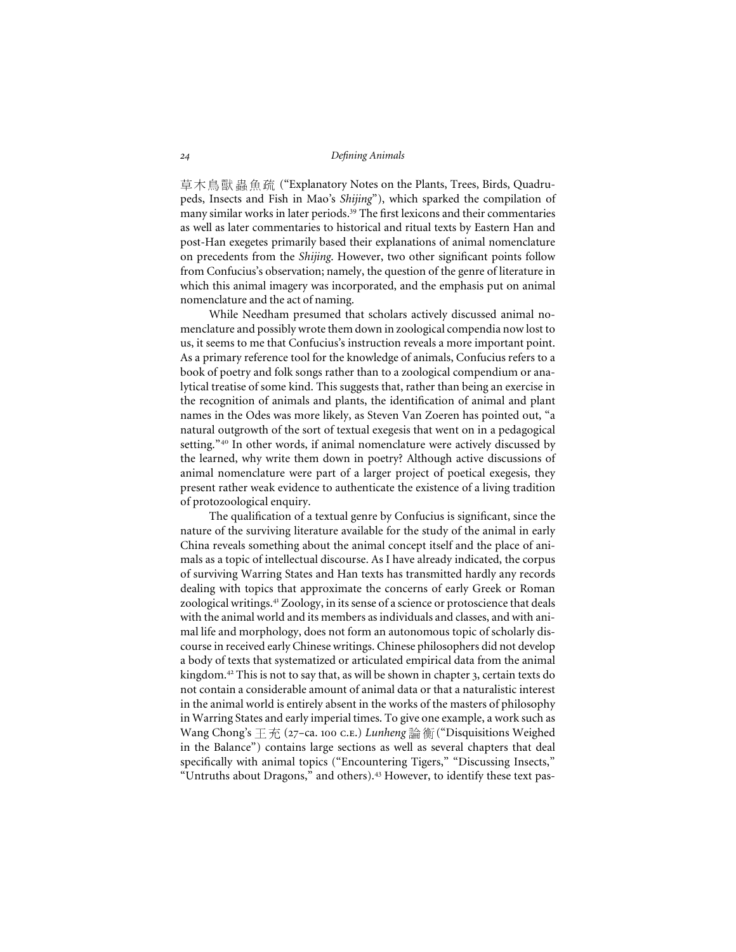草木鳥獸蟲魚疏 ("Explanatory Notes on the Plants, Trees, Birds, Quadrupeds, Insects and Fish in Mao's *Shijing*"), which sparked the compilation of many similar works in later periods.<sup>39</sup> The first lexicons and their commentaries as well as later commentaries to historical and ritual texts by Eastern Han and post-Han exegetes primarily based their explanations of animal nomenclature on precedents from the *Shijing*. However, two other significant points follow from Confucius's observation; namely, the question of the genre of literature in which this animal imagery was incorporated, and the emphasis put on animal nomenclature and the act of naming.

While Needham presumed that scholars actively discussed animal nomenclature and possibly wrote them down in zoological compendia now lost to us, it seems to me that Confucius's instruction reveals a more important point. As a primary reference tool for the knowledge of animals, Confucius refers to a book of poetry and folk songs rather than to a zoological compendium or analytical treatise of some kind. This suggests that, rather than being an exercise in the recognition of animals and plants, the identification of animal and plant names in the Odes was more likely, as Steven Van Zoeren has pointed out, "a natural outgrowth of the sort of textual exegesis that went on in a pedagogical setting."40 In other words, if animal nomenclature were actively discussed by the learned, why write them down in poetry? Although active discussions of animal nomenclature were part of a larger project of poetical exegesis, they present rather weak evidence to authenticate the existence of a living tradition of protozoological enquiry.

The qualification of a textual genre by Confucius is significant, since the nature of the surviving literature available for the study of the animal in early China reveals something about the animal concept itself and the place of animals as a topic of intellectual discourse. As I have already indicated, the corpus of surviving Warring States and Han texts has transmitted hardly any records dealing with topics that approximate the concerns of early Greek or Roman zoological writings.41 Zoology, in its sense of a science or protoscience that deals with the animal world and its members as individuals and classes, and with animal life and morphology, does not form an autonomous topic of scholarly discourse in received early Chinese writings. Chinese philosophers did not develop a body of texts that systematized or articulated empirical data from the animal kingdom.42 This is not to say that, as will be shown in chapter 3, certain texts do not contain a considerable amount of animal data or that a naturalistic interest in the animal world is entirely absent in the works of the masters of philosophy in Warring States and early imperial times. To give one example, a work such as Wang Chong's  $\pm \pi$  (27-ca. 100 c.e.) *Lunheng* 論衡 ("Disquisitions Weighed in the Balance") contains large sections as well as several chapters that deal specifically with animal topics ("Encountering Tigers," "Discussing Insects," "Untruths about Dragons," and others).43 However, to identify these text pas-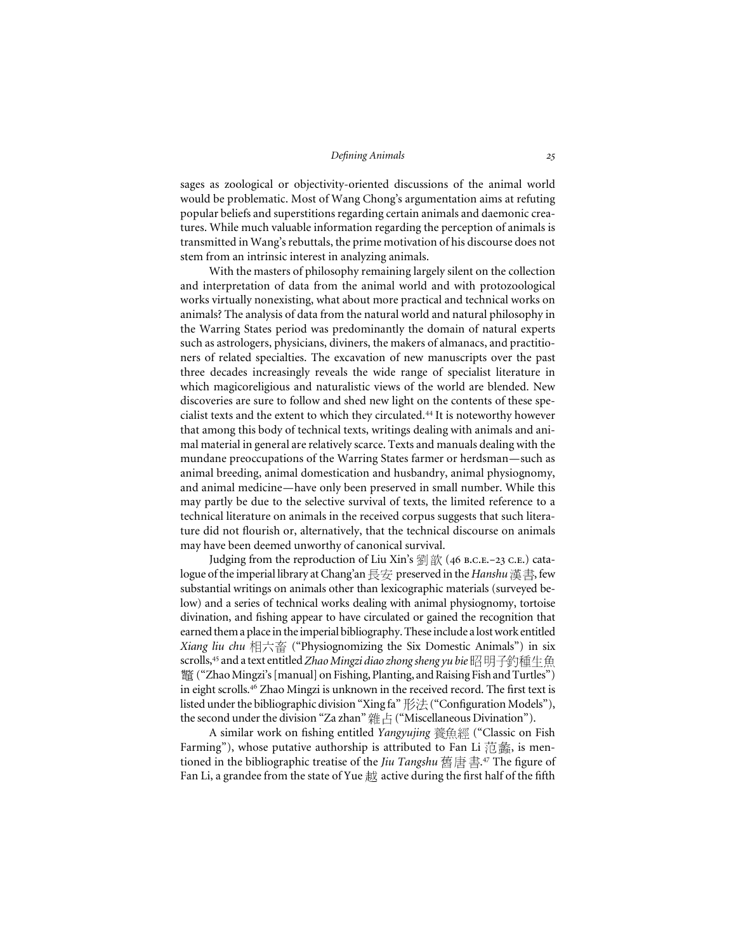sages as zoological or objectivity-oriented discussions of the animal world would be problematic. Most of Wang Chong's argumentation aims at refuting popular beliefs and superstitions regarding certain animals and daemonic creatures. While much valuable information regarding the perception of animals is transmitted in Wang's rebuttals, the prime motivation of his discourse does not stem from an intrinsic interest in analyzing animals.

With the masters of philosophy remaining largely silent on the collection and interpretation of data from the animal world and with protozoological works virtually nonexisting, what about more practical and technical works on animals? The analysis of data from the natural world and natural philosophy in the Warring States period was predominantly the domain of natural experts such as astrologers, physicians, diviners, the makers of almanacs, and practitioners of related specialties. The excavation of new manuscripts over the past three decades increasingly reveals the wide range of specialist literature in which magicoreligious and naturalistic views of the world are blended. New discoveries are sure to follow and shed new light on the contents of these specialist texts and the extent to which they circulated.44 It is noteworthy however that among this body of technical texts, writings dealing with animals and animal material in general are relatively scarce. Texts and manuals dealing with the mundane preoccupations of the Warring States farmer or herdsman—such as animal breeding, animal domestication and husbandry, animal physiognomy, and animal medicine—have only been preserved in small number. While this may partly be due to the selective survival of texts, the limited reference to a technical literature on animals in the received corpus suggests that such literature did not flourish or, alternatively, that the technical discourse on animals may have been deemed unworthy of canonical survival.

Judging from the reproduction of Liu Xin's 劉歆 (46 B.C.E.-23 C.E.) catalogue of the imperial library at Chang'an 長安 preserved in the *Hanshu* 漢書, few substantial writings on animals other than lexicographic materials (surveyed below) and a series of technical works dealing with animal physiognomy, tortoise divination, and fishing appear to have circulated or gained the recognition that earned them a place in the imperial bibliography. These include a lost work entitled *Xiang liu chu* ("Physiognomizing the Six Domestic Animals") in six scrolls,<sup>45</sup> and a text entitled *Zhao Mingzi diao zhong sheng yu bie* 昭明子釣種生魚  $\frac{165}{12}$  ("Zhao Mingzi's [manual] on Fishing, Planting, and Raising Fish and Turtles") in eight scrolls.<sup>46</sup> Zhao Mingzi is unknown in the received record. The first text is listed under the bibliographic division "Xing fa"  $E\not\equiv$  ("Configuration Models"), the second under the division "Za zhan" 雜占 ("Miscellaneous Divination").

A similar work on fishing entitled *Yangyujing* 養魚經 ("Classic on Fish Farming"), whose putative authorship is attributed to Fan Li  $\overline{\mathrm{16}}$   $\overline{\mathrm{36}}$ , is mentioned in the bibliographic treatise of the *Jiu Tangshu* 舊唐書.47 The figure of Fan Li, a grandee from the state of Yue  $\frac{1}{k}$  active during the first half of the fifth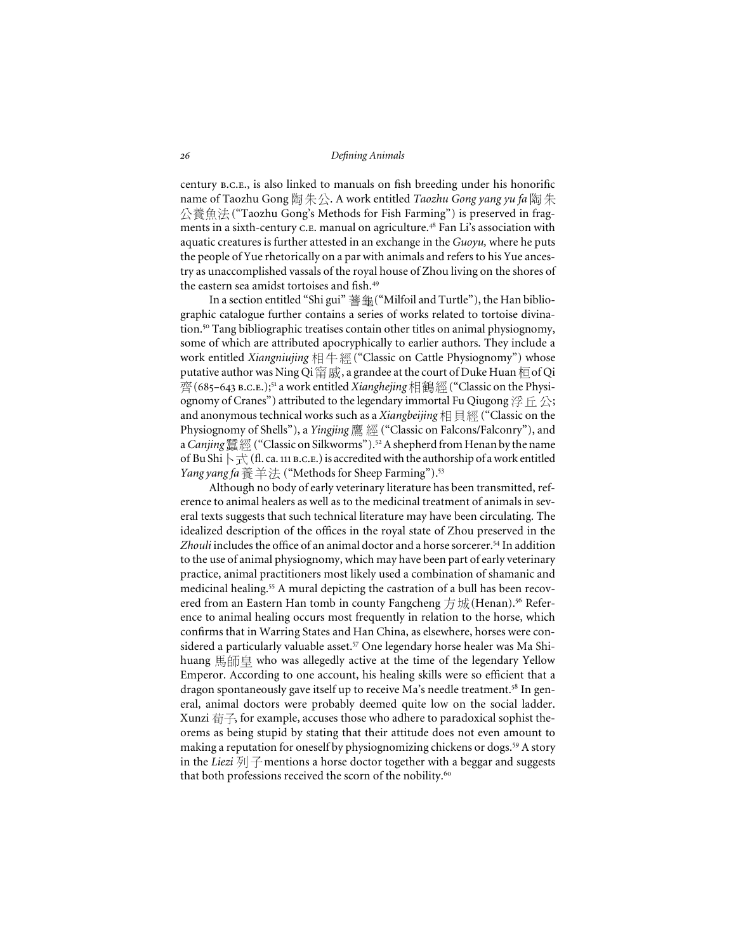century B.C.E., is also linked to manuals on fish breeding under his honorific name of Taozhu Gong 陶朱公. A work entitled *Taozhu Gong yang yu fa* 陶朱 公養魚法("Taozhu Gong's Methods for Fish Farming") is preserved in fragments in a sixth-century c.e. manual on agriculture.<sup>48</sup> Fan Li's association with aquatic creatures is further attested in an exchange in the *Guoyu,* where he puts the people of Yue rhetorically on a par with animals and refers to his Yue ancestry as unaccomplished vassals of the royal house of Zhou living on the shores of the eastern sea amidst tortoises and fish.<sup>49</sup>

In a section entitled "Shi gui" 蓍龜 ("Milfoil and Turtle"), the Han bibliographic catalogue further contains a series of works related to tortoise divination.50 Tang bibliographic treatises contain other titles on animal physiognomy, some of which are attributed apocryphically to earlier authors. They include a work entitled *Xiangniujing* 相牛經 ("Classic on Cattle Physiognomy") whose putative author was Ning Qi  $\mathbb{\hat{H}}$   $\mathbb{R}$ , a grandee at the court of Duke Huan  $\mathbb{\hat{H}}$  of Qi 齊(685–643 b.c.e.);<sup>51</sup> a work entitled *Xianghejing* 相鶴經 ("Classic on the Physiognomy of Cranes") attributed to the legendary immortal Fu Qiugong  $\mathcal{F} \to \mathcal{F}$ ; and anonymous technical works such as a *Xiangbeijing* ("Classic on the Physiognomy of Shells"), a *Yingjing* 鷹 經 ("Classic on Falcons/Falconry"), and a *Canjing* 蠶經 ("Classic on Silkworms").<sup>52</sup> A shepherd from Henan by the name of Bu Shi  $\vdash \pm \pm$  (fl. ca. 111 b.c.e.) is accredited with the authorship of a work entitled *Yang yang fa* 養羊法 ("Methods for Sheep Farming").<sup>53</sup>

Although no body of early veterinary literature has been transmitted, reference to animal healers as well as to the medicinal treatment of animals in several texts suggests that such technical literature may have been circulating. The idealized description of the offices in the royal state of Zhou preserved in the *Zhouli* includes the office of an animal doctor and a horse sorcerer.<sup>54</sup> In addition to the use of animal physiognomy, which may have been part of early veterinary practice, animal practitioners most likely used a combination of shamanic and medicinal healing.55 A mural depicting the castration of a bull has been recovered from an Eastern Han tomb in county Fangcheng  $\overline{\tau}$  the (Henan).<sup>56</sup> Reference to animal healing occurs most frequently in relation to the horse, which confirms that in Warring States and Han China, as elsewhere, horses were considered a particularly valuable asset.<sup>57</sup> One legendary horse healer was Ma Shihuang  $E\oplus E$  who was allegedly active at the time of the legendary Yellow Emperor. According to one account, his healing skills were so efficient that a dragon spontaneously gave itself up to receive Ma's needle treatment.58 In general, animal doctors were probably deemed quite low on the social ladder. Xunzi  $\overleftrightarrow{a}$ , for example, accuses those who adhere to paradoxical sophist theorems as being stupid by stating that their attitude does not even amount to making a reputation for oneself by physiognomizing chickens or dogs.<sup>59</sup> A story in the *Liezi*  $\overline{y}$   $\left| \right.$   $\right.$   $\left| \right.$  mentions a horse doctor together with a beggar and suggests that both professions received the scorn of the nobility.<sup>60</sup>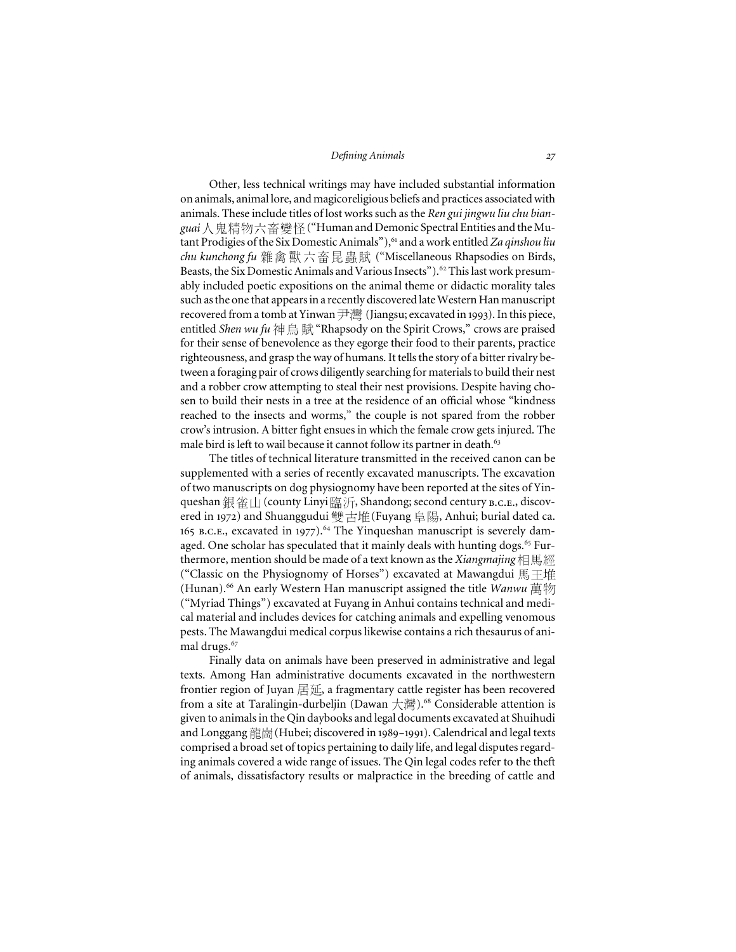Other, less technical writings may have included substantial information on animals, animal lore, and magicoreligious beliefs and practices associated with animals. These include titles of lost works such as the *Ren gui jingwu liu chu bian*guai 人鬼精物六畜變怪("Human and Demonic Spectral Entities and the Mutant Prodigies of the Six Domestic Animals"),<sup>61</sup> and a work entitled *Za qinshou liu* chu kunchong fu 雜禽獸六畜昆蟲賦 ("Miscellaneous Rhapsodies on Birds, Beasts, the Six Domestic Animals and Various Insects").<sup>62</sup> This last work presumably included poetic expositions on the animal theme or didactic morality tales such as the one that appears in a recently discovered late Western Han manuscript recovered from a tomb at Yinwan  $\exists \mathbb{R}$  (Jiangsu; excavated in 1993). In this piece, entitled *Shen wu fu* 神鳥賦 "Rhapsody on the Spirit Crows," crows are praised for their sense of benevolence as they egorge their food to their parents, practice righteousness, and grasp the way of humans. It tells the story of a bitter rivalry between a foraging pair of crows diligently searching for materials to build their nest and a robber crow attempting to steal their nest provisions. Despite having chosen to build their nests in a tree at the residence of an official whose "kindness" reached to the insects and worms," the couple is not spared from the robber crow's intrusion. A bitter fight ensues in which the female crow gets injured. The male bird is left to wail because it cannot follow its partner in death.<sup>63</sup>

The titles of technical literature transmitted in the received canon can be supplemented with a series of recently excavated manuscripts. The excavation of two manuscripts on dog physiognomy have been reported at the sites of Yinqueshan 銀雀山 (county Linyi 臨沂, Shandong; second century B.C.E., discovered in 1972) and Shuanggudui 雙古堆(Fuyang 阜陽, Anhui; burial dated ca. 165 B.C.E., excavated in 1977).<sup>64</sup> The Yinqueshan manuscript is severely damaged. One scholar has speculated that it mainly deals with hunting dogs.<sup>65</sup> Furthermore, mention should be made of a text known as the *Xiangmajing* ("Classic on the Physiognomy of Horses") excavated at Mawangdui 馬王堆 (Hunan).66 An early Western Han manuscript assigned the title *Wanwu* ("Myriad Things") excavated at Fuyang in Anhui contains technical and medical material and includes devices for catching animals and expelling venomous pests. The Mawangdui medical corpus likewise contains a rich thesaurus of animal drugs.<sup>67</sup>

Finally data on animals have been preserved in administrative and legal texts. Among Han administrative documents excavated in the northwestern frontier region of Juyan  $\mathbb{R} \mathbb{H}$ , a fragmentary cattle register has been recovered from a site at Taralingin-durbeljin (Dawan 大灣).<sup>68</sup> Considerable attention is given to animals in the Qin daybooks and legal documents excavated at Shuihudi and Longgang 龍崗 (Hubei; discovered in 1989–1991). Calendrical and legal texts comprised a broad set of topics pertaining to daily life, and legal disputes regarding animals covered a wide range of issues. The Qin legal codes refer to the theft of animals, dissatisfactory results or malpractice in the breeding of cattle and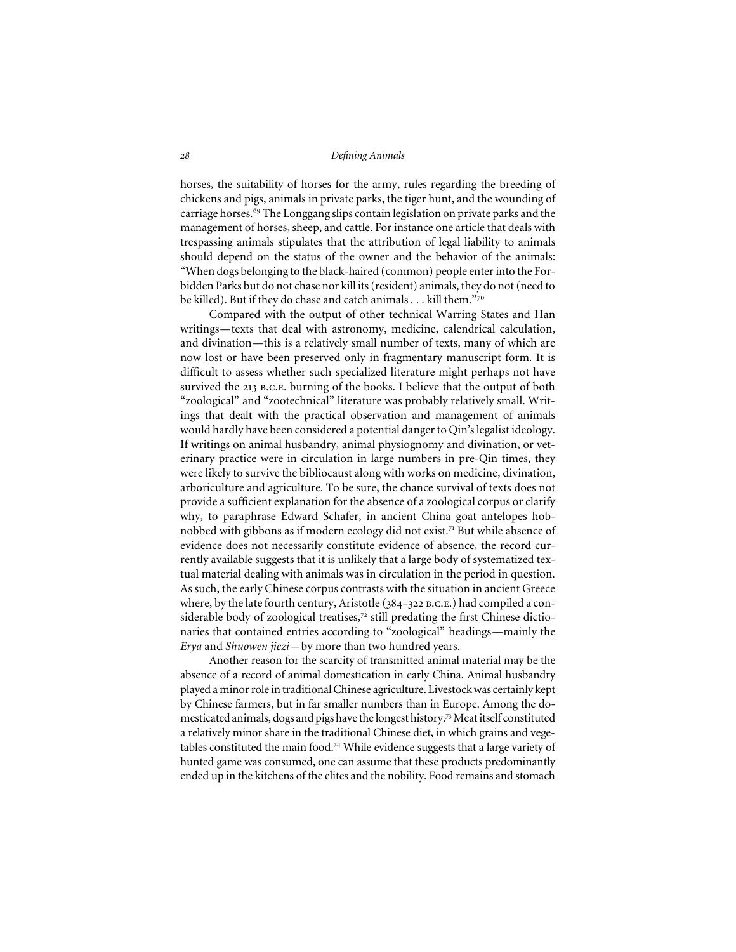horses, the suitability of horses for the army, rules regarding the breeding of chickens and pigs, animals in private parks, the tiger hunt, and the wounding of carriage horses.69 The Longgang slips contain legislation on private parks and the management of horses, sheep, and cattle. For instance one article that deals with trespassing animals stipulates that the attribution of legal liability to animals should depend on the status of the owner and the behavior of the animals: "When dogs belonging to the black-haired (common) people enter into the Forbidden Parks but do not chase nor kill its (resident) animals, they do not (need to be killed). But if they do chase and catch animals . . . kill them."70

Compared with the output of other technical Warring States and Han writings—texts that deal with astronomy, medicine, calendrical calculation, and divination—this is a relatively small number of texts, many of which are now lost or have been preserved only in fragmentary manuscript form. It is difficult to assess whether such specialized literature might perhaps not have survived the 213 b.c.e. burning of the books. I believe that the output of both "zoological" and "zootechnical" literature was probably relatively small. Writings that dealt with the practical observation and management of animals would hardly have been considered a potential danger to Qin's legalist ideology. If writings on animal husbandry, animal physiognomy and divination, or veterinary practice were in circulation in large numbers in pre-Qin times, they were likely to survive the bibliocaust along with works on medicine, divination, arboriculture and agriculture. To be sure, the chance survival of texts does not provide a sufficient explanation for the absence of a zoological corpus or clarify why, to paraphrase Edward Schafer, in ancient China goat antelopes hobnobbed with gibbons as if modern ecology did not exist.<sup>71</sup> But while absence of evidence does not necessarily constitute evidence of absence, the record currently available suggests that it is unlikely that a large body of systematized textual material dealing with animals was in circulation in the period in question. As such, the early Chinese corpus contrasts with the situation in ancient Greece where, by the late fourth century, Aristotle (384–322 b.c.e.) had compiled a considerable body of zoological treatises, $7<sup>2</sup>$  still predating the first Chinese dictionaries that contained entries according to "zoological" headings—mainly the *Erya* and *Shuowen jiezi—*by more than two hundred years.

Another reason for the scarcity of transmitted animal material may be the absence of a record of animal domestication in early China. Animal husbandry played a minor role in traditional Chinese agriculture. Livestock was certainly kept by Chinese farmers, but in far smaller numbers than in Europe. Among the domesticated animals, dogs and pigs have the longest history.73 Meat itself constituted a relatively minor share in the traditional Chinese diet, in which grains and vegetables constituted the main food.74 While evidence suggests that a large variety of hunted game was consumed, one can assume that these products predominantly ended up in the kitchens of the elites and the nobility. Food remains and stomach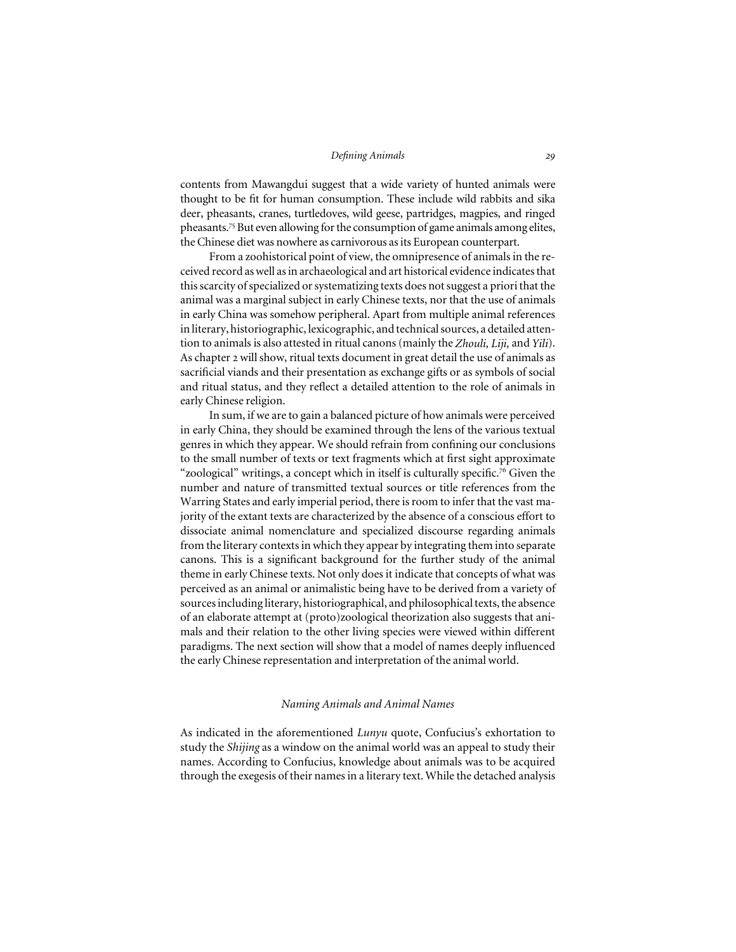contents from Mawangdui suggest that a wide variety of hunted animals were thought to be fit for human consumption. These include wild rabbits and sika deer, pheasants, cranes, turtledoves, wild geese, partridges, magpies, and ringed pheasants.75 But even allowing for the consumption of game animals among elites, the Chinese diet was nowhere as carnivorous as its European counterpart.

From a zoohistorical point of view, the omnipresence of animals in the received record as well as in archaeological and art historical evidence indicates that this scarcity of specialized or systematizing texts does not suggest a priori that the animal was a marginal subject in early Chinese texts, nor that the use of animals in early China was somehow peripheral. Apart from multiple animal references in literary, historiographic, lexicographic, and technical sources, a detailed attention to animals is also attested in ritual canons (mainly the *Zhouli, Liji,* and *Yili*). As chapter 2 will show, ritual texts document in great detail the use of animals as sacrificial viands and their presentation as exchange gifts or as symbols of social and ritual status, and they reflect a detailed attention to the role of animals in early Chinese religion.

In sum, if we are to gain a balanced picture of how animals were perceived in early China, they should be examined through the lens of the various textual genres in which they appear. We should refrain from confining our conclusions to the small number of texts or text fragments which at first sight approximate "zoological" writings, a concept which in itself is culturally specific.<sup>76</sup> Given the number and nature of transmitted textual sources or title references from the Warring States and early imperial period, there is room to infer that the vast majority of the extant texts are characterized by the absence of a conscious effort to dissociate animal nomenclature and specialized discourse regarding animals from the literary contexts in which they appear by integrating them into separate canons. This is a significant background for the further study of the animal theme in early Chinese texts. Not only does it indicate that concepts of what was perceived as an animal or animalistic being have to be derived from a variety of sources including literary, historiographical, and philosophical texts, the absence of an elaborate attempt at (proto)zoological theorization also suggests that animals and their relation to the other living species were viewed within different paradigms. The next section will show that a model of names deeply influenced the early Chinese representation and interpretation of the animal world.

# *Naming Animals and Animal Names*

As indicated in the aforementioned *Lunyu* quote, Confucius's exhortation to study the *Shijing* as a window on the animal world was an appeal to study their names. According to Confucius, knowledge about animals was to be acquired through the exegesis of their names in a literary text. While the detached analysis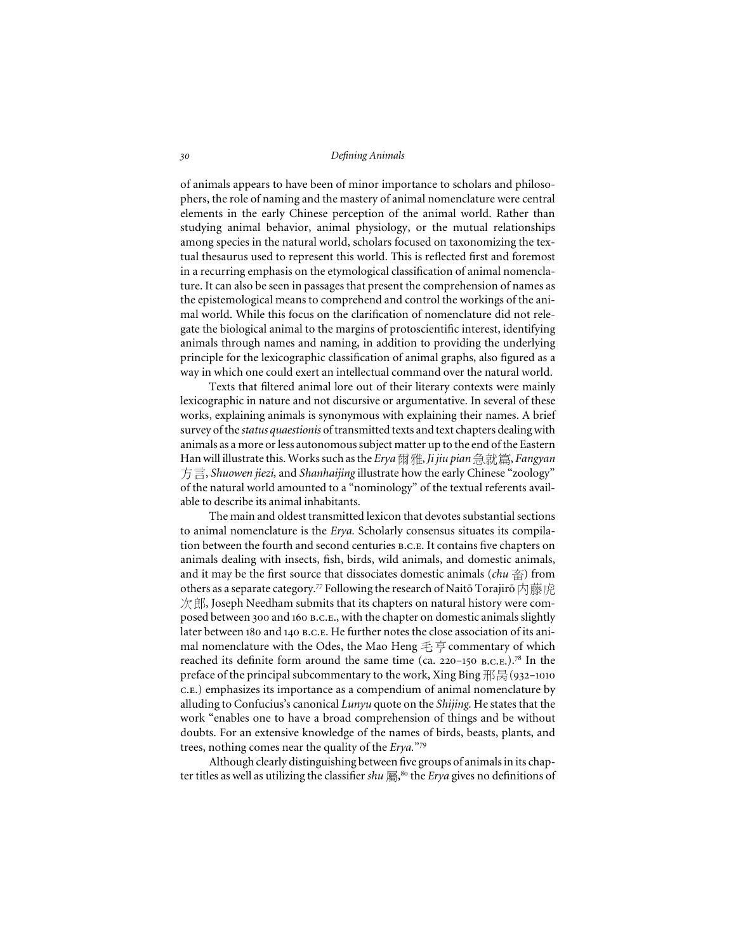of animals appears to have been of minor importance to scholars and philosophers, the role of naming and the mastery of animal nomenclature were central elements in the early Chinese perception of the animal world. Rather than studying animal behavior, animal physiology, or the mutual relationships among species in the natural world, scholars focused on taxonomizing the textual thesaurus used to represent this world. This is reflected first and foremost in a recurring emphasis on the etymological classification of animal nomenclature. It can also be seen in passages that present the comprehension of names as the epistemological means to comprehend and control the workings of the animal world. While this focus on the clarification of nomenclature did not relegate the biological animal to the margins of protoscientific interest, identifying animals through names and naming, in addition to providing the underlying principle for the lexicographic classification of animal graphs, also figured as a way in which one could exert an intellectual command over the natural world.

Texts that filtered animal lore out of their literary contexts were mainly lexicographic in nature and not discursive or argumentative. In several of these works, explaining animals is synonymous with explaining their names. A brief survey of the *status quaestionis* of transmitted texts and text chapters dealing with animals as a more or less autonomous subject matter up to the end of the Eastern Han will illustrate this. Works such as the *Erya* 爾雅, *Ji jiu pian* 急就篇, *Fangyan* , *Shuowen jiezi,* and *Shanhaijing* illustrate how the early Chinese "zoology" of the natural world amounted to a "nominology" of the textual referents available to describe its animal inhabitants.

The main and oldest transmitted lexicon that devotes substantial sections to animal nomenclature is the *Erya.* Scholarly consensus situates its compilation between the fourth and second centuries  $B.C.E.$  It contains five chapters on animals dealing with insects, fish, birds, wild animals, and domestic animals, and it may be the first source that dissociates domestic animals (*chu* 畜) from others as a separate category.<sup>77</sup> Following the research of Naitō Torajirō 内藤虎  $\mathcal{H}$   $\mathbb{B}$ , Joseph Needham submits that its chapters on natural history were composed between 300 and 160 b.c.e., with the chapter on domestic animals slightly later between 180 and 140 b.c.e. He further notes the close association of its animal nomenclature with the Odes, the Mao Heng  $\overline{\pm}$   $\overline{\mp}$  commentary of which reached its definite form around the same time (ca. 220-150 b.c.e.).<sup>78</sup> In the preface of the principal subcommentary to the work, Xing Bing  $\frac{1}{\sqrt{2}}$  (932-1010 c.e.) emphasizes its importance as a compendium of animal nomenclature by alluding to Confucius's canonical *Lunyu* quote on the *Shijing.* He states that the work "enables one to have a broad comprehension of things and be without doubts. For an extensive knowledge of the names of birds, beasts, plants, and trees, nothing comes near the quality of the *Erya.*"79

Although clearly distinguishing between five groups of animals in its chapter titles as well as utilizing the classifier *shu* 屬,<sup>80</sup> the *Erya* gives no definitions of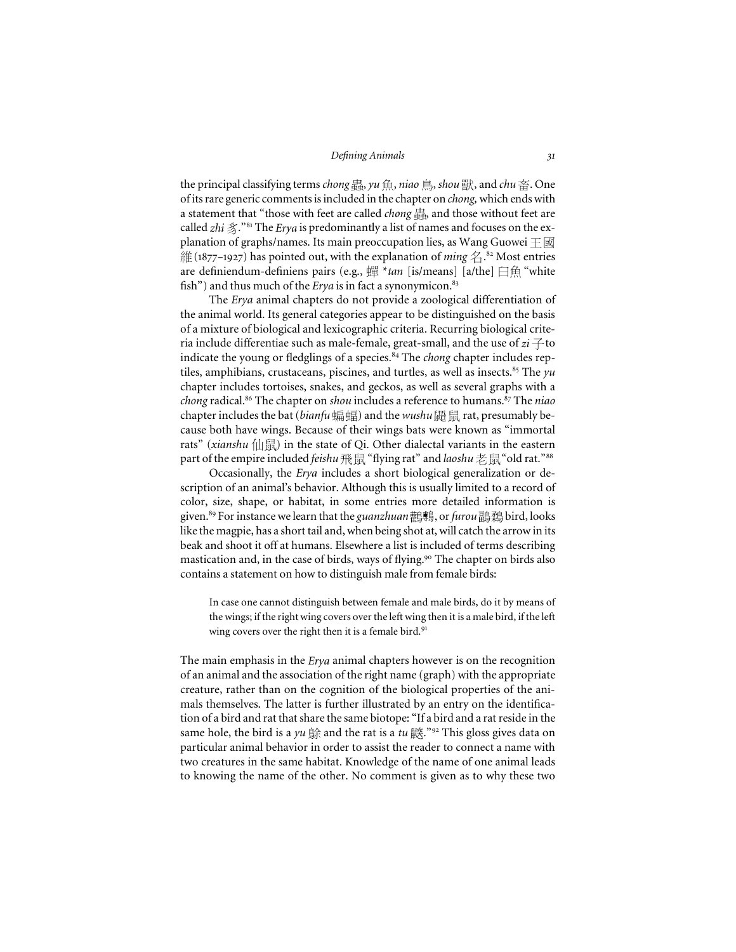the principal classifying terms *chong* 蟲, yu 魚, niao 鳥, shou獸, and *chu* 畜. One of its rare generic comments is included in the chapter on *chong,* which ends with a statement that "those with feet are called *chong* 蟲, and those without feet are called  $zhi \AA$ ."<sup>81</sup> The *Erya* is predominantly a list of names and focuses on the explanation of graphs/names. Its main preoccupation lies, as Wang Guowei  $\pm \boxtimes$ ( $1877-1927$ ) has pointed out, with the explanation of *ming*  $\&$  .<sup>82</sup> Most entries are definiendum-definiens pairs (e.g., 蟬 \*tan [is/means] [a/the] 白魚 "white fish") and thus much of the  $Erya$  is in fact a synonymicon.<sup>83</sup>

The *Erya* animal chapters do not provide a zoological differentiation of the animal world. Its general categories appear to be distinguished on the basis of a mixture of biological and lexicographic criteria. Recurring biological criteria include differentiae such as male-female, great-small, and the use of  $z\vec{i} \vec{j}$  to indicate the young or fledglings of a species.<sup>84</sup> The *chong* chapter includes reptiles, amphibians, crustaceans, piscines, and turtles, as well as insects.<sup>85</sup> The  $\gamma u$ chapter includes tortoises, snakes, and geckos, as well as several graphs with a *chong* radical.86 The chapter on *shou* includes a reference to humans.87 The *niao* chapter includes the bat (*bianfu* 蝙蝠) and the *wushu* 鼯鼠 rat, presumably because both have wings. Because of their wings bats were known as "immortal rats" (*xianshu* ( $\parallel \parallel \mathbb{R} \parallel$ ) in the state of Qi. Other dialectal variants in the eastern part of the empire included *feishu* 飛鼠 "flying rat" and *laoshu* 老鼠 "old rat."<sup>88</sup>

Occasionally, the *Erya* includes a short biological generalization or description of an animal's behavior. Although this is usually limited to a record of color, size, shape, or habitat, in some entries more detailed information is given.<sup>89</sup> For instance we learn that the *guanzhuan* 鸛鶇, or *furou* 鶝鶔 bird, looks like the magpie, has a short tail and, when being shot at, will catch the arrow in its beak and shoot it off at humans. Elsewhere a list is included of terms describing mastication and, in the case of birds, ways of flying.<sup>90</sup> The chapter on birds also contains a statement on how to distinguish male from female birds:

In case one cannot distinguish between female and male birds, do it by means of the wings; if the right wing covers over the left wing then it is a male bird, if the left wing covers over the right then it is a female bird.<sup>91</sup>

The main emphasis in the *Erya* animal chapters however is on the recognition of an animal and the association of the right name (graph) with the appropriate creature, rather than on the cognition of the biological properties of the animals themselves. The latter is further illustrated by an entry on the identification of a bird and rat that share the same biotope: "If a bird and a rat reside in the same hole, the bird is a  $yu \circledast$  and the rat is a  $tu \circledast$ ."<sup>92</sup> This gloss gives data on particular animal behavior in order to assist the reader to connect a name with two creatures in the same habitat. Knowledge of the name of one animal leads to knowing the name of the other. No comment is given as to why these two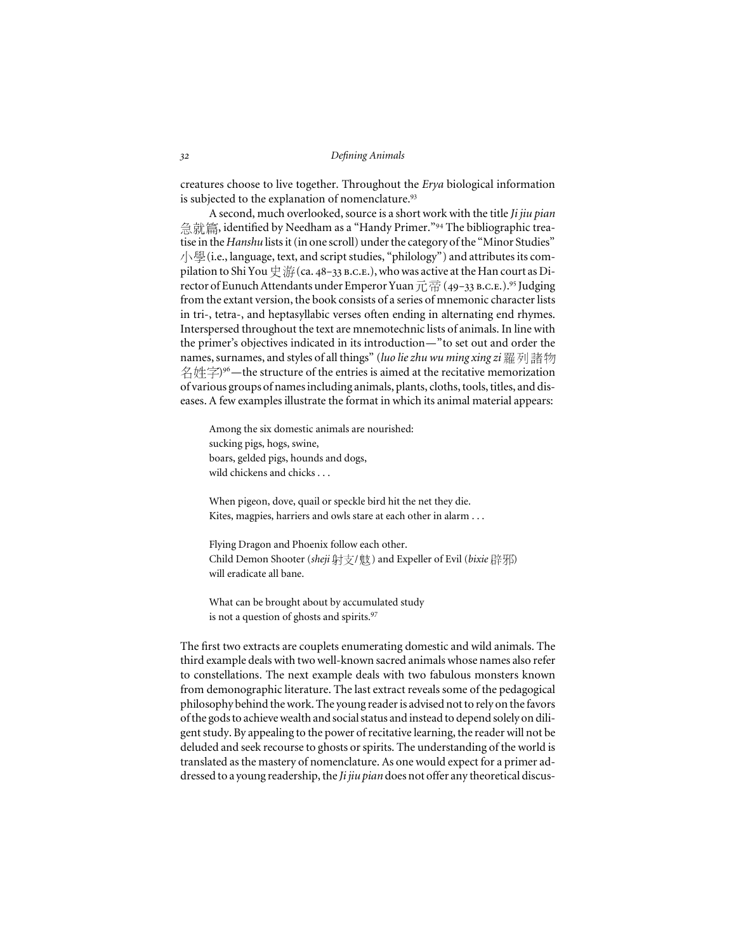creatures choose to live together. Throughout the *Erya* biological information is subjected to the explanation of nomenclature.<sup>93</sup>

A second, much overlooked, source is a short work with the title *Ji jiu pian* 急就篇, identified by Needham as a "Handy Primer."<sup>94</sup> The bibliographic treatise in the *Hanshu* lists it (in one scroll) under the category of the "Minor Studies" 小學(i.e., language, text, and script studies, "philology") and attributes its compilation to Shi You  $\bigcup \mathcal{F}$  (ca. 48–33 b.c.e.), who was active at the Han court as Director of Eunuch Attendants under Emperor Yuan  $\vec{\pi}$   $\vec{\pi}$  (49–33 b.c.e.).<sup>95</sup> Judging from the extant version, the book consists of a series of mnemonic character lists in tri-, tetra-, and heptasyllabic verses often ending in alternating end rhymes. Interspersed throughout the text are mnemotechnic lists of animals. In line with the primer's objectives indicated in its introduction—"to set out and order the names, surnames, and styles of all things" (*luo lie zhu wu ming xing zi*  $\mathcal{A} \# \ncong$ )<sup>96</sup>—the structure of the entries is aimed at the recitative memorization of various groups of names including animals, plants, cloths, tools, titles, and diseases. A few examples illustrate the format in which its animal material appears:

Among the six domestic animals are nourished: sucking pigs, hogs, swine, boars, gelded pigs, hounds and dogs, wild chickens and chicks . . .

When pigeon, dove, quail or speckle bird hit the net they die. Kites, magpies, harriers and owls stare at each other in alarm . . .

Flying Dragon and Phoenix follow each other. Child Demon Shooter (*sheji* 射支 / 舷) and Expeller of Evil (*bixie* 辟邪) will eradicate all bane.

What can be brought about by accumulated study is not a question of ghosts and spirits.<sup>97</sup>

The first two extracts are couplets enumerating domestic and wild animals. The third example deals with two well-known sacred animals whose names also refer to constellations. The next example deals with two fabulous monsters known from demonographic literature. The last extract reveals some of the pedagogical philosophy behind the work. The young reader is advised not to rely on the favors of the gods to achieve wealth and social status and instead to depend solely on diligent study. By appealing to the power of recitative learning, the reader will not be deluded and seek recourse to ghosts or spirits. The understanding of the world is translated as the mastery of nomenclature. As one would expect for a primer addressed to a young readership, the *Ji jiu pian* does not offer any theoretical discus-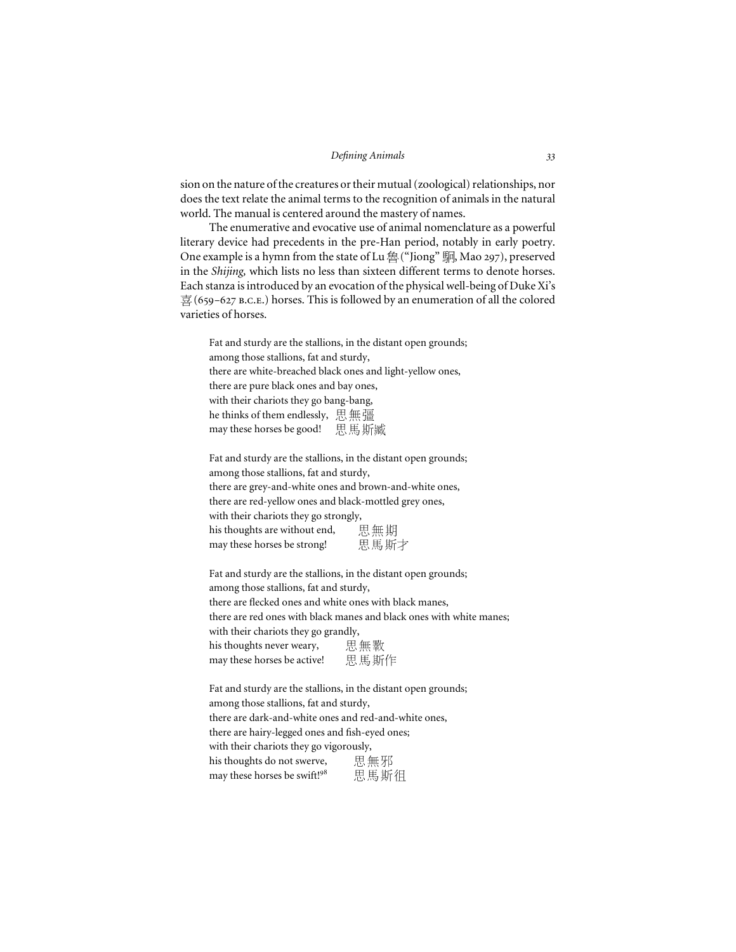sion on the nature of the creatures or their mutual (zoological) relationships, nor does the text relate the animal terms to the recognition of animals in the natural world. The manual is centered around the mastery of names.

The enumerative and evocative use of animal nomenclature as a powerful literary device had precedents in the pre-Han period, notably in early poetry. One example is a hymn from the state of Lu  $\mathcal{B}$  ("Jiong"  $\mathbb{F}$ , Mao 297), preserved in the *Shijing,* which lists no less than sixteen different terms to denote horses. Each stanza is introduced by an evocation of the physical well-being of Duke Xi's  $\vec{B}$  (659–627 b.c.e.) horses. This is followed by an enumeration of all the colored varieties of horses.

Fat and sturdy are the stallions, in the distant open grounds; among those stallions, fat and sturdy, there are white-breached black ones and light-yellow ones, there are pure black ones and bay ones, with their chariots they go bang-bang, he thinks of them endlessly, 思無彊 may these horses be good! 思馬斯臧

Fat and sturdy are the stallions, in the distant open grounds; among those stallions, fat and sturdy, there are grey-and-white ones and brown-and-white ones, there are red-yellow ones and black-mottled grey ones, with their chariots they go strongly, his thoughts are without end, 思無期 思馬斯才 may these horses be strong!

Fat and sturdy are the stallions, in the distant open grounds; among those stallions, fat and sturdy, there are flecked ones and white ones with black manes, there are red ones with black manes and black ones with white manes; with their chariots they go grandly, 思無斁 his thoughts never weary, 思馬斯作 may these horses be active!

Fat and sturdy are the stallions, in the distant open grounds; among those stallions, fat and sturdy, there are dark-and-white ones and red-and-white ones, there are hairy-legged ones and fish-eyed ones; with their chariots they go vigorously, 思無邪 his thoughts do not swerve, 思馬斯徂 may these horses be swift!98